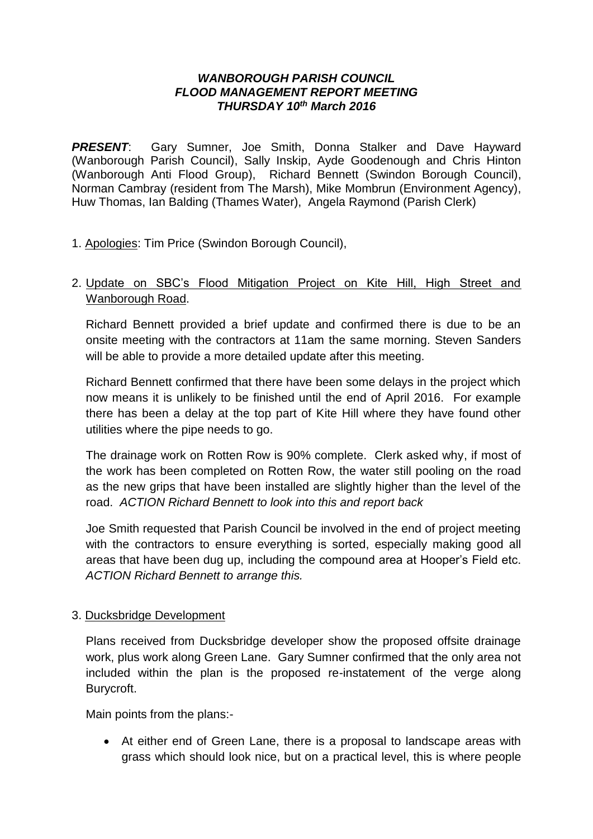#### *WANBOROUGH PARISH COUNCIL FLOOD MANAGEMENT REPORT MEETING THURSDAY 10th March 2016*

*PRESENT*: Gary Sumner, Joe Smith, Donna Stalker and Dave Hayward (Wanborough Parish Council), Sally Inskip, Ayde Goodenough and Chris Hinton (Wanborough Anti Flood Group), Richard Bennett (Swindon Borough Council), Norman Cambray (resident from The Marsh), Mike Mombrun (Environment Agency), Huw Thomas, Ian Balding (Thames Water), Angela Raymond (Parish Clerk)

1. Apologies: Tim Price (Swindon Borough Council),

# 2. Update on SBC's Flood Mitigation Project on Kite Hill, High Street and Wanborough Road.

Richard Bennett provided a brief update and confirmed there is due to be an onsite meeting with the contractors at 11am the same morning. Steven Sanders will be able to provide a more detailed update after this meeting.

Richard Bennett confirmed that there have been some delays in the project which now means it is unlikely to be finished until the end of April 2016. For example there has been a delay at the top part of Kite Hill where they have found other utilities where the pipe needs to go.

The drainage work on Rotten Row is 90% complete. Clerk asked why, if most of the work has been completed on Rotten Row, the water still pooling on the road as the new grips that have been installed are slightly higher than the level of the road. *ACTION Richard Bennett to look into this and report back*

Joe Smith requested that Parish Council be involved in the end of project meeting with the contractors to ensure everything is sorted, especially making good all areas that have been dug up, including the compound area at Hooper's Field etc. *ACTION Richard Bennett to arrange this.*

## 3. Ducksbridge Development

Plans received from Ducksbridge developer show the proposed offsite drainage work, plus work along Green Lane. Gary Sumner confirmed that the only area not included within the plan is the proposed re-instatement of the verge along Burycroft.

Main points from the plans:-

 At either end of Green Lane, there is a proposal to landscape areas with grass which should look nice, but on a practical level, this is where people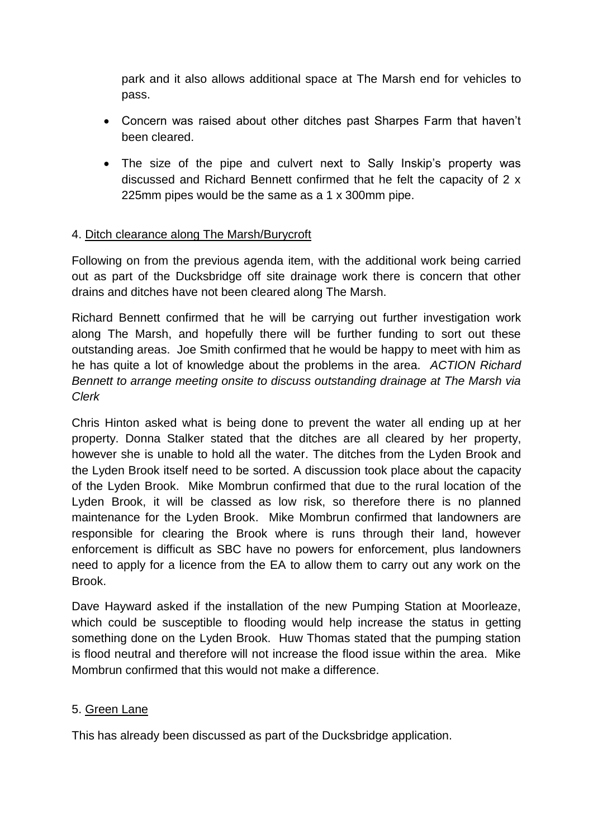park and it also allows additional space at The Marsh end for vehicles to pass.

- Concern was raised about other ditches past Sharpes Farm that haven't been cleared.
- The size of the pipe and culvert next to Sally Inskip's property was discussed and Richard Bennett confirmed that he felt the capacity of 2 x 225mm pipes would be the same as a 1 x 300mm pipe.

## 4. Ditch clearance along The Marsh/Burycroft

Following on from the previous agenda item, with the additional work being carried out as part of the Ducksbridge off site drainage work there is concern that other drains and ditches have not been cleared along The Marsh.

Richard Bennett confirmed that he will be carrying out further investigation work along The Marsh, and hopefully there will be further funding to sort out these outstanding areas. Joe Smith confirmed that he would be happy to meet with him as he has quite a lot of knowledge about the problems in the area. *ACTION Richard Bennett to arrange meeting onsite to discuss outstanding drainage at The Marsh via Clerk*

Chris Hinton asked what is being done to prevent the water all ending up at her property. Donna Stalker stated that the ditches are all cleared by her property, however she is unable to hold all the water. The ditches from the Lyden Brook and the Lyden Brook itself need to be sorted. A discussion took place about the capacity of the Lyden Brook. Mike Mombrun confirmed that due to the rural location of the Lyden Brook, it will be classed as low risk, so therefore there is no planned maintenance for the Lyden Brook. Mike Mombrun confirmed that landowners are responsible for clearing the Brook where is runs through their land, however enforcement is difficult as SBC have no powers for enforcement, plus landowners need to apply for a licence from the EA to allow them to carry out any work on the Brook.

Dave Hayward asked if the installation of the new Pumping Station at Moorleaze, which could be susceptible to flooding would help increase the status in getting something done on the Lyden Brook. Huw Thomas stated that the pumping station is flood neutral and therefore will not increase the flood issue within the area. Mike Mombrun confirmed that this would not make a difference.

## 5. Green Lane

This has already been discussed as part of the Ducksbridge application.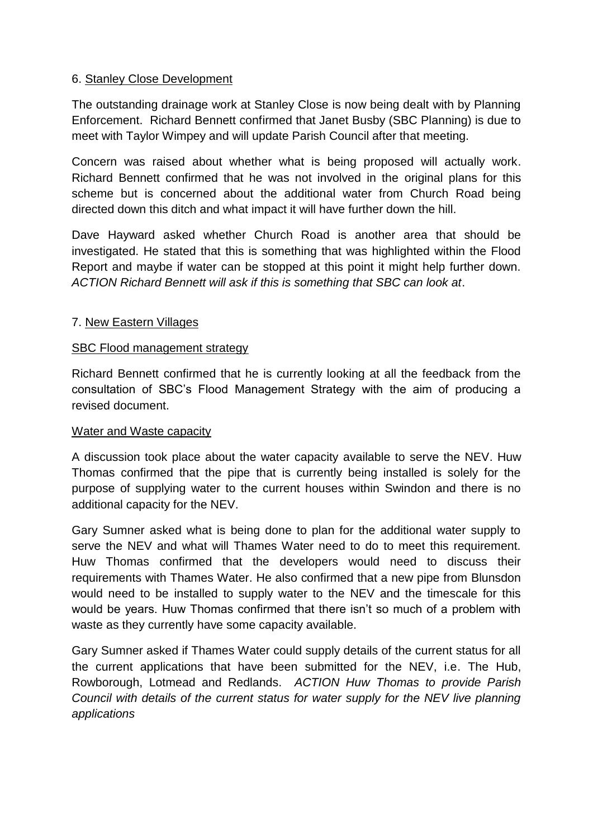### 6. Stanley Close Development

The outstanding drainage work at Stanley Close is now being dealt with by Planning Enforcement. Richard Bennett confirmed that Janet Busby (SBC Planning) is due to meet with Taylor Wimpey and will update Parish Council after that meeting.

Concern was raised about whether what is being proposed will actually work. Richard Bennett confirmed that he was not involved in the original plans for this scheme but is concerned about the additional water from Church Road being directed down this ditch and what impact it will have further down the hill.

Dave Hayward asked whether Church Road is another area that should be investigated. He stated that this is something that was highlighted within the Flood Report and maybe if water can be stopped at this point it might help further down. *ACTION Richard Bennett will ask if this is something that SBC can look at*.

### 7. New Eastern Villages

#### SBC Flood management strategy

Richard Bennett confirmed that he is currently looking at all the feedback from the consultation of SBC's Flood Management Strategy with the aim of producing a revised document.

#### Water and Waste capacity

A discussion took place about the water capacity available to serve the NEV. Huw Thomas confirmed that the pipe that is currently being installed is solely for the purpose of supplying water to the current houses within Swindon and there is no additional capacity for the NEV.

Gary Sumner asked what is being done to plan for the additional water supply to serve the NEV and what will Thames Water need to do to meet this requirement. Huw Thomas confirmed that the developers would need to discuss their requirements with Thames Water. He also confirmed that a new pipe from Blunsdon would need to be installed to supply water to the NEV and the timescale for this would be years. Huw Thomas confirmed that there isn't so much of a problem with waste as they currently have some capacity available.

Gary Sumner asked if Thames Water could supply details of the current status for all the current applications that have been submitted for the NEV, i.e. The Hub, Rowborough, Lotmead and Redlands. *ACTION Huw Thomas to provide Parish Council with details of the current status for water supply for the NEV live planning applications*